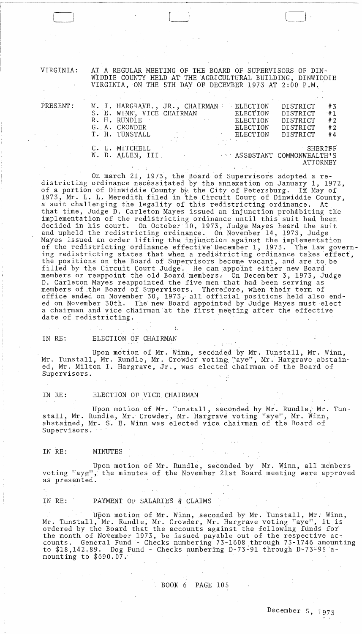VIRGINIA: AT A REGULAR MEETING OF THE BOARD OF SUPERVISORS OF DIN-WIDDIE COUNTY HELD AT' THE AGRICULTURAL BUILDING, DINWIDDIE VIRGINIA, ON THE 5TH DAY OF DECEMBER 1973 AT 2:00 P.M.

 $\Box$ 

| $\mathtt{PRESENT}$ : |                           | M. I. HARGRAVE., JR., CHAIRMAN                  | <b>ELECTION</b> | DISTRICT        | #3      |
|----------------------|---------------------------|-------------------------------------------------|-----------------|-----------------|---------|
|                      | S. E. WINN, VICE CHAIRMAN |                                                 | ELECTION        | DISTRICT        | #1      |
|                      | R. H. RUNDLE              |                                                 | ELECTION        | DISTRICT        | #2      |
|                      | G. A. CROWDER             |                                                 | ELECTION        | DISTRICT        | #2      |
|                      | T. H. TUNSTALL            |                                                 | ELECTION        | DISTRICT        | #4      |
|                      |                           |                                                 |                 |                 |         |
|                      | C. L. MITCHELL            |                                                 |                 |                 | SHERIFF |
|                      |                           | W. D. ALLEN, III MARIE ASSOSTANT COMMONWEALTH'S |                 |                 |         |
|                      |                           |                                                 |                 | <b>ATTORNEY</b> |         |
|                      |                           |                                                 |                 |                 |         |

On march 21, 1973, the Board of Supervisors adopted a redistricting ordinance necessitated by the annexation on January 1, 1972, of a portion of Dinwiddie County  $b^x$  the City of Petersburg. In May of 1973, Mr. L. L. Meredith filed in 'the Circuit Court of Dinwiddie County, a suit challenging the legality of this redistricting ordinance. At that time, Judge D. Carleton Mayes issued an injunction prohabiting the implementation of the redistricting ordinance until this suit had been decided in his court. On October 10, 1973, Judge Mayes heard the suit and upheld the redistricting ordinance. On November 14, 1973, Judge Mayes issued an order lifting the injunction against the implementation of the redistricting ordinance effective December 1, 1973. The law governing redistricting states that when a redi§tricting ordinance takes effect, the positions on the Board of Supervisors become vacant, and are to be filled by the Circuit Court Judge. He can appoint either new Board members or reappoint the old Board members. On December 3, 1973, Judge D. Carleton Mayes reappointed the five men that had heen serving as members of the Board of Supervisors. Therefore, when their term of office ended on November 30, 1973, all official positions held also ended on November 30th. The new Board appointed by Judge Mayes must elect a chairman and vice chairman at the first meeting after the effective date of redistricting.

# IN RE: ELECTION OF CHAIRMAN

Upon motion of Mr. Winn, seconded by Mr. Tunstall, Mr. Winn, Mr. Tunstall, Mr. Rundle, Mr. Crowder voting "aye", Mr. Hargrave abstained, Mr. Milton I. Hargrave, Jr., was elected chairman of the Board of Supervisors.

IN RE: ELECTION OF VICE CHAIRMAN

Upon motion of Mr. Tunstall, seconded by Mr. Rundle, Mr. Tunstall, Mr. Rundle, Mr. Crowder, Mr. Hargrave voting "aye", Mr. Winn, abstained, Mr. S. E. Winn was elected vice chairman of the Board of Supervisors.

## IN RE: MINUTES

-- -~-------~---~~~~~~-

 $\boxed{\phantom{1}}$ 

Upon motion of Mr. Rundle, seconded by Mr. Winn, all members voting "aye", the minutes of the November 21st Board meeting were approved as presented.

## IN RE: ' PAYMENT OF SALARIES & CLAIMS

Upon motion of Mr. Winn, seconded by Mr. Tunstall, Mr. Winn, Mr. Tunstall, Mr. Rundle, Mr. Crowder, Mr. Hargrave voting "aye", it is ordered by the Board that the accounts against the following funds for the month of November 1973, be issued payable out of the respective accounts. General Fund - Checks numbering 73-1608 ,through 73-1746 amounting to \$18,142.89. Dog Fund - Checks numbering D-73-91 through D-73-95 amounting to \$690.07.

## BOOK 6 PAGE 105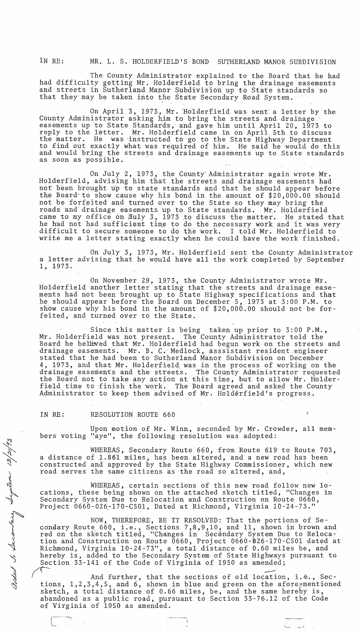IN RE: MR. L. S. HOLDERFIELD'S BOND SUTHERLAND MANOR SUBDIVISION

The County Administrator explained to the Board that he had had difficulty getting Mr. Holderfield to bring the drainage easements and streets in Sutherland Manor Subdivision up to State standards so that they may be taken into the State Secondary Road System.

On April 3, 1973., Mr. 'Holderf,ield was scent' a 'letter by the County Administrator asking him to bring the streets and drainage easements up to State Standards, and gave him until April 20, 1973 to reply to the letter. Mr. Holderfield came in on April 5th to discuss the matter. He was 'instructed to go to the State Highway Department to find out exactly what was required of him. He said he would do this and would bring the streets and drainage easements up to State standards as soon as possible.

On July 2, 1973, the County Administrator again wrote Mr. Holderfield, advising him that the streets and drainage easements had not been brought up to state standards and that he should appear before the Board' to show cause why his bond in the amount of \$20,000.00 should not be forfeited and turned over to the State so they may bring the roads and drainage easements up to State standards. Mr. Holderfield came to my office on Muly 3, 1973 to discuss the matter. He stated that he had not had sufficient time to do the necessary work and it was very difficult to secure someone to do the work. I told Mr. Holderfield to write me a letter stating exactly when he could have the work finished.

On July 3, 1973, Mr. Holderfield sent the County Administrator a letter advising that he would have all the work completed by September 1, 1973.

On November 29, 1973, the County Administrator wrote Mr. Holderfield another letter stating that the streets and drainage easements had not been brought up to State Highway specifications and that he should appear before the Board on December 5, 1973 at 3:00 P.M. to show cause why his bond in the amount of \$20,000.00 should not be forfeited, and turned over to the State.

Since this matter is being taken up prior to 3:00 P.M-., Mr. Holderfield was not present. The County Administrator told the Board he believed that Mr. Holderfield had begun work on the streets and drainage easements. Mr. B, C,' Medlock, asssistant resident engineer stated that he had been to Sutherland Manor Subdivision on December 4, 1973, and that' Mr. HOlderfield, was in the process of working on the drainage easements and the streets. The County Administrator requested the Board not to take any action at this time, but to allow Mr. Holderfield time to finish the work. The Board agreed and asked the County Administrator to keep them advised of Mr. Holderfield's progress.

IN RE: RESOLUTION ROUTE 660

r---"~ .------

 $\frac{1}{2}$ ~

, Sigitan

f ')

 $\mathscr{L}\mathscr{U}$ 

Upon motion of Mr. Winn, seconded by Mr. Crowder, all members voting "aye", the following resolution was adopted:

WHEREAS, Secondary Route 660, from Route 619' to Route 703, a distance of 1.861 miles, has been altered, and a new road has been constructed and approved by the State Highway Commissioner, which new road serves the same citizens as the road so altered, and,

WHEREAS, certain sections of this new road follow new locations, these being shown on the attached sketch titled, "Changes in Secondary System Due to Relocation and Construction on Route 0660, Project 0660-026,-170-C50l, Dated at Richmond, Virginia 10-24-73."

NOW, THEREFORE, BE IT RESOLVED: That the portions of Secondary Route, 660, i.e., Sections 7,8,9,10, and 11, shown in brown and red on the sketch titled, "Changes in Secdmdary System Due to Relocation and Construction on Route 0660, Project 0660-026-170-C501 dated at Richmond, Virginia 10-24-73", a total distance of 0.60 miles be, and hereby is, added to the Secondary System of State Highways pursuant to<br>Section 33-141 of the Code of Virginia of 1950 as amended;<br>And further, that the sections of old location, i.\*., Sec-Section 33-141 of the Code of Virginia of 1950 as amended;

And further, that the sections of old location, i. $\text{\textdegree{.}},$  Sec-<br>tions, 1,2,3,4,5, and 6, shown in blue and green on the aforegmentioned sketch, a total distance of 0.66 miles, be, and the same hereby is, abandoned as a public road, pursuant to Section 33-76.12 of the Code of Virginia of 1950 as amended.

1:--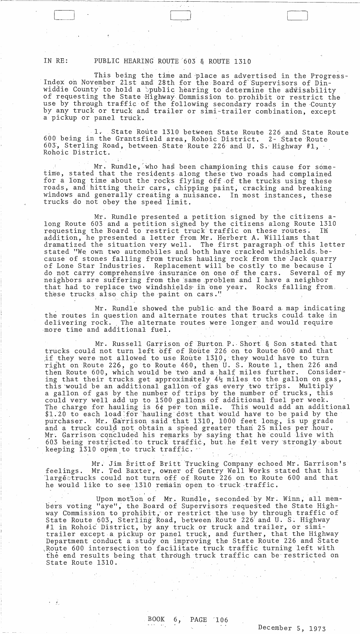IN RE: PUBLIC HEARING ROUTE '603 & ROUTE 1310.

r"'--'-- -~,,--, ---\_\_ \_

This being the time and place as advertised in the Progress-Index on November 21st and 28th for the Board of Supervisors of Dinwiddie County to hold a Spublic hearing to determine the advisability of requesting the State Highway Commission to prohibit or restrict the use by through traffic of the following secondary roads in the County by any truck or truck and trailer or simi-trailer combination, except a pickup or panel truck.

1. State Route 1310 between State Route 226 and State Route<br>the Grantsfield area, Rohoic District, 2- State Route 600 being in the Grantsfield area, Rohoic District, *60.3,* Sterling Road, between State Route 226 and U. S.' Highway #1, Rohoic District.

Mr. Rundle, who has been championing this cause for sometime, stated that the residents along these two roads had complained for a long time about the rocks flying 6ff.of the trucks using these roads, and hitting their cars, chipping paint, cracking and breaking windows and generally creating a nuisance. In most instances, these trucks do not obey the speed limit.

Mr. Rundle presented a petition signed by the citizens along Route 603 and a petition signed by the citizens along Route 1310 requesting the Board to restrict truck traffic on these routes. In addition, he presented a letter from Mr. Herbert A. Williams that dramatized the situation very well. The first paragraph·of this letter stated "We own two automobiles and both have cracked windshields. because of stones falling from trucks hauling rock from the Jack quarry of Lone Star Industries. Replacement will be costly to me because I do not carry comprehensive insurance on one of the cars. Several of my neighbors are suffering from the same problem and I have a neighbor that had to replace two windshields in one year. Rocks falling from, these trucks also chip the paint on cars."

Mr. Rundle showed the public and the Board a· map indicating the routes in question and alternate routes that trucks could take in<br>delivering rock. The alternate routes were longer and would require The alternate routes were longer and would require more time and additional fuel.

Mr. Russell Garrison of Burton P. Short & Son stated that trucks could not turn left off of Route 226 on to Route 600 and that if they were not allowed to use Route 1310, they would have to turn right on Route 226, go to Route *460.,* then' U. S. Route 1, then 226 and then Route 600, which would be two and a half miles further. Considering that their trucks get approximately  $4\frac{1}{2}$  miles to the gallon on gas, this would be an additional gallon of gas every two trips. Multiply a gallon of gas by the number of trips by the number of trucks, this could very well add up to 1500 gallons of additional fuel per week. The charge for hauling is  $6¢$  per ton mile. This would add an additional \$1.20 to each load for hauling dost that would have to be paid by the purchaser. Mr. Garrison said that 1310, 1000 feet long, is up grade and a truck could not obtain a speed greater than 25 miles per hour. Mr. Garrison concluded his remarks by saying that he could live with 603 being restricted to truck traffic, but he felt very strongly about keeping 1310 open to truck traffic.

Mr. Jim Brittof Britt Trucking Company echoed Mr. Garrison's feelings. Mr. Ted Baxter, owner of Gentry Well Works stated that his 'largëetrucks could not turn off of Route 226 on to Route 600 and that he would like to see 1310 remain open to truck traffic.

Upon motion of Mr. Rundle, seconded by Mr. Winn, all members voting "aye", the Board of Supervisors requested the State Highway Commission to prohibit,' or restrict the 'use by through traffic of State Route 603, Sterling Road, between Route 226 and U. S. Highway #1 in Rohoi~ District, by any truck or truck and trailer, or simitrailer except a pickup or panel truck, and further, that the Highway Department conduct a'study on improving the State Route 226 and State Route 600 intersection to facilitate truck traffic turning left with the end results being that through truck traffic can be restricted on State Route 1310..

 $\mathcal{L}_{\mathcal{A}}$  , where  $\mathcal{L}_{\mathcal{A}}$  and  $\mathcal{L}_{\mathcal{A}}$ 

 $\mathcal{L}_{\mathcal{A}}$ 

 $\mathcal{A}$ 

 $\sim 100$  km  $^{-1}$ 

 $\epsilon=\epsilon_{\rm c}$ 

December 5, 1973

 $\label{eq:2.1} \frac{1}{\sqrt{2}}\left(\frac{1}{\sqrt{2}}\right)^{2} \left(\frac{1}{\sqrt{2}}\right)^{2} \left(\frac{1}{\sqrt{2}}\right)^{2} \left(\frac{1}{\sqrt{2}}\right)^{2} \left(\frac{1}{\sqrt{2}}\right)^{2} \left(\frac{1}{\sqrt{2}}\right)^{2} \left(\frac{1}{\sqrt{2}}\right)^{2} \left(\frac{1}{\sqrt{2}}\right)^{2} \left(\frac{1}{\sqrt{2}}\right)^{2} \left(\frac{1}{\sqrt{2}}\right)^{2} \left(\frac{1}{\sqrt{2}}\right)^{2} \left(\$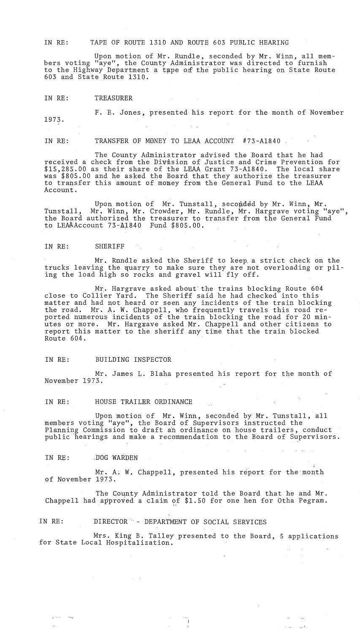IN RE: TAPE OF ROUTE 1310 AND ROUTE 603 PUBLIC HEARING

Upon motion of Mr. Rundle, seconded by Mr. Winn, all members voting "aye", the County Administrator was directed to furnish to the Highway Department a tape of the public hearing on State Route 603 and State Route 1310.

IN RE: TREASURER

F. E. Jones, presented his report for the month of November 1973.

IN RE: TRANSFER OF MONEY TO LEAA ACCOUNT #73-A1840

The County Administrator advised the Board that he had received a check from the Division of Justice and Crime Prevention for \$15,285.00 as their share of the LEAA Grant 73-A1840. The local share was \$805.00 and he asked the Board that they authorize the treasurer to transfer this amount of money from the General Fund to the LEAA Account.

Upon motion of Mr. Tunstall, seconded by Mr. Winn, Mr. Tunstall, Mr. Winn, Mr. Crowder, Mr. Rundle, Mr. Hargrave voting "aye", the Board authorized the treasurer to transfer from the General Fund to LEMAccount 73-A1840 Fund \$805.00.

#### IN RE: SHERIFF

Mr. Rundle asked the Sheriff to keep. a strict check on the trucks leaving the quarry to make sure they are not overloading or piling the load high so rocks and gravel will fly off.

Mr. Hargrave asked about' the trains blocking Route 604 close to Collier Yard. The Sheriff said he had checked into this matter and had not heard or seen any incidents of the train blocking the road. Mr. A. W. Chappell, who frequently travels this road reported numerous incidents of the train blocking the road for 20 minutes or more. Mr. Hargzave asked Mr. Chappell and other citizens to report this matter to the sheriff any time that the train blocked Route 604.

IN RE: BUILDING INSPECTOR

Mr. James L. Blaha presented his report for the month of November 1973.

IN RE: HOUSE TRAILER ORDINANCE

Upon motion of Mr. Winn, seconded by Mr. Tunstall, all members voting "aye", the Board of Supervisors instructed the Planning Commission to draft an ordinance on house trailers, conduct public hearings and make a recommendation to the Board of Supervisors.

IN RE: .DOG WARDEN

 $\overline{a}$ 

Mr. A. W. Chappell, presented his report for the month of November 1973.

The County Administrator told the Board that he and Mr. Chappell had approved a claim of  $$1.50$  for one hen for Otha Pegram.

IN RE: DIRECTOR "- DEPARTMENT OF SOCIAL SERVICES

 $\sim 10^{11}$  km  $^{-1}$ 

Mrs. King B. Talley presented to the Board, 5 applications for State Local Hospitalization.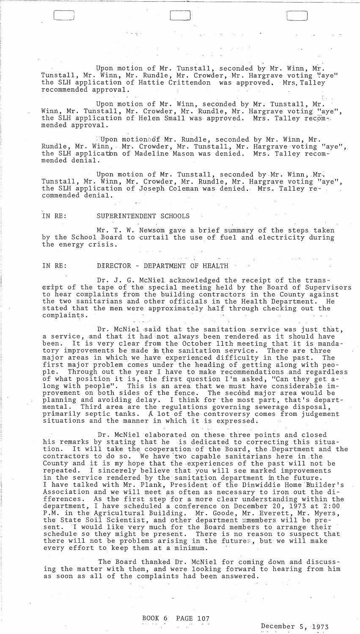Upon motion of Mr. Tunstall, seconded by Mr. Winn, Mr. Tunstall, Mr. Winn, Mr. Rundle, Mr. Crowder, Mr. Hargrave voting "aye" the SLH application of Hattie Crittendon was approved. Mrs.Talley recommended approval.

-,

 $\Box$ 

Upon motion of Mr. Winn, seconded by Mr. Tunstall, Mr. Winn, Mr. Tunstall, Mr. Crowder, Mr. Rundle, Mr. Hargrave voting "aye", the SLH application of Helen Small was approved. Mrs. Talley recom-: mended approval.

::Upon motiono6f Mr. Rundle, seconded by Mr. Winn, Mr. Rundle, Mr. Winn, Mr. Crowder, Mr. Tunstall, Mr. Hargrave voting "aye", the SLH applicatim of Madeline Mason was denied. Mrs. Talley recommended denial.

Upon motion of Mr. Tunstall, seconded by Mr. Winn, Mr. Tunstall, Mr. Winn, Mr. Crowder, Mr. Rundle, Mr. Hargrave voting "aye", the SLH application of Joseph Coleman was denied. Mrs. Talley recommended denial.

## IN RE: SUPERINTENDENT SCHOOLS

Mr. T. W. Newsom gave a brief summary of the steps taken by the School Board to curtail the use of fuel and electricity during the energy crisis.

 $\label{eq:2} \frac{1}{2} \left( \frac{1}{2} \right)^2 \left( \frac{1}{2} \right)^2 \left( \frac{1}{2} \right)^2$ 

 $\mathcal{A}^{\mathcal{A}}$ 

#### IN RE: DERECTOR - DEPARTMENT OF HEALTH

Dr. J. G. McNiel acknowledged the receipt of the transsript of the tape of the special meeting held by the Board of Supervisors to hear complaints from the building contractors in the County against the two sanitarians and other officials in the Health Department. He stated that the men were approximately half through checking out the complaints.

Dr. McNiel said that the sanitation service was just that, a service, and that it had not always been rendered as it should have been. It is very clear from the October 11th meeting that it is mandatory improvements be made in the sanitation service. There are three major areas in which we have experienced difficulty in the past. The first major problem comes under the heading of getting along with peo-<br>ple. Through out the year I have to make recommendations and regardle Through out the year I have to make recommendations and regardless of what position it is, the first question I'm asked, "Can they get along with people". This is an area that we must have considerable improvement on both sides of the fence. The second major area would be planning and avoiding delay. I think for the most part, that's departmental. Third area are the regulations governing sewerage disposal, primarily septic tanks. A lot of the controversy comes from judgement situations and the manner in which it is expressed;

 $\mathbf{r} \leftarrow \mathbf{r} \leftarrow \mathbf{r} \leftarrow \mathbf{r} \leftarrow \mathbf{r} \leftarrow \mathbf{r} \leftarrow \mathbf{r} \leftarrow \mathbf{r} \leftarrow \mathbf{r} \leftarrow \mathbf{r} \leftarrow \mathbf{r} \leftarrow \mathbf{r} \leftarrow \mathbf{r} \leftarrow \mathbf{r} \leftarrow \mathbf{r} \leftarrow \mathbf{r} \leftarrow \mathbf{r} \leftarrow \mathbf{r} \leftarrow \mathbf{r} \leftarrow \mathbf{r} \leftarrow \mathbf{r} \leftarrow \mathbf{r} \leftarrow \mathbf{r} \leftarrow \mathbf{r} \leftarrow \mathbf{$ Dr. McNiel elaborated on these three points and closed his remarks by stating that he is dedicated to correcting this situation. It will take the cooperation of the Board, the Department and the contractors to do so. We have two capable sanitarians here in the County and it is my hope that the experiences of the past will not be<br>repeated. I sincerely believe that you will see marked improvements I sincerely believe that you will see marked improvements in the service rendered by the sanitation department in the future. I have talked with Mr. Plank, President of the Dinwiddie Home Builder's Association and we will meet as often as necessary to iron out the differences. As the first step for a more clear understanding within the department, I have scheduled a conference on December 20, 1973 at '2: 00 P.M. in the Agricultural Building. Mr. Goode, Mr. Everett, Mr. Myers, the State Soil Scientist, and other department mmembers will be prethe State Soil Scientist, and other department mmembers will be pre-<br>sent. I would like very much for the Board members to arrange their schedule so they might be present. There is no reason to suspect that there will not be problems arising in the futures, but we will make every effort to keep them at a minimum.

The Board thanked Dr. McNiel for coming down and discussing the matter with them, and were looking forward to hearing from him as soon as all of the complaints had been answered.

 $\mathcal{L}^{\text{max}}_{\text{max}}$  and the contract of the contract of the contract of the contract of the contract of the contract of the contract of the contract of the contract of the contract of the contract of the contract of the

December 5, 1973

 $\mathbf{A}^{(n)}$  and  $\mathbf{A}^{(n)}$  and  $\mathbf{A}^{(n)}$ 

 $\mathcal{L}^{\mathcal{L}}(\mathcal{L}^{\mathcal{L}}(\mathcal{L}^{\mathcal{L}}))$  , and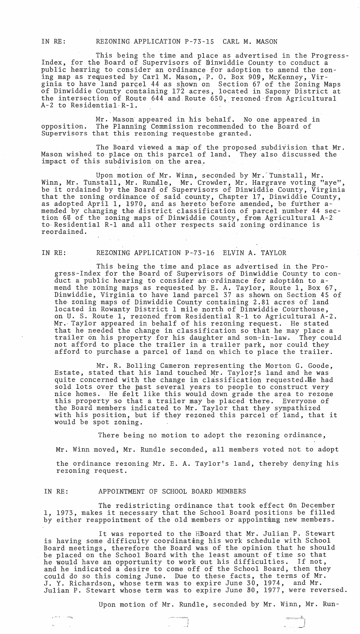IN RE: REZONING APPLICATION P-73-l5 CARL M. MASON

This being the time and place as advertised in the Progress-Index, for the Board of Supervisors of hinwiddie County to conduct a public hearing to consider an ordinance for adoption to amend the zoning map as requested by Carl M. Mason, P. O. Box 909, McKenney, Virginia to have land parcel 44 as shown on Section 67 of the Zoning Maps of Dinwiddie County containing 17'2· acres, lo-cated in Sapony District at the intersection of Route 644 and.Route 650, rezoned-from Agricultural A-2 to Residential-R-1.

Mr. Mason appeared in his behalf. No one appeared in opposition. The Planning Commission recommended to the Board of Supervisors that this rezoning requestebe granted.

The Board viewed a map of the proposed subdivision that Mr. Mason wished to place on this parcel of land. They also discussed the impact of this subdivision on the area.

Upon motion of Mr. Winn, seconded by Mr.'Tunstall, Mr. Winn, Mr. Tunstall, Mr. Rundle, Mr. Crowder, Mr. Hargrave voting "aye", winn, Mi. Tunstall, Mi. Runste, Mi. Clowdel, Mi. Hargrave voting aye, that the zoning ordinance of said county, Chapter 17, Dinwiddie County, as adopted April 1, 1970, and as hereto before amended, be further amended by changing the district classification of parcel number 44 section 6% of the zoning maps of Dinwiddie County, from Agricultural A-2 to Residential R-1 and all other respects said zoning ordinance is reordained.

 $\epsilon \simeq \gamma \gamma \simeq \gamma \gamma \gamma$ 

### IN RE: REZONING APPLICATION P-73-16 ELVIN A. TAYLOR

This being the time and place as advertised in the Progress-Index for the Board of Supervisors of Dinwiddie County to conduct a public hearing to consider an ordinance for adoption to amend the zoning maps as requested by E. A. Taylor, Route 1, Box 67, Dinwiddie, Virginia to have land parcel 37 as shown on Section 45 of the zoning maps of Dinwiddie County containing 2.81 acres of land located in Rowanty District 1 mile north of Dinwiddie Courthouse, on U. S. Route 1, rezoned from Residential R-l to Agricultural A-2. Mr.- Taylor appeared in behalf of his rezoning request. He stated that he needed the change in classification so that he may place a trailer on his property for his daughter and son-in-law. They could not afford to place the trailer in a trailer park, nor could they afford to purchase a parcel of land on which to place the trailer.

Mr. R. Bolling Cameron representing the Morton G. Goode, Estate, stated that his land touched Mr. Taylor:s land and he was quite concerned with the change in classification requested.He had sold lots over the past several years to people to construct very nice homes. He felt like this would down grade the area to rezone this property so that a trailer may be placed there. Everyone of the Board members indicated to Mr. Taylor that they sympathized with his position, but if they rezoned this parcel of land, that it would be spot zoning.

There being no motion to adopt the rezoning ordinance,

Mr. Winn moved, Mr. Rundle seconded, all members voted not to adopt the ordinance rezoning Mr. E. A. Taylor's land, thereby denying his rezoning request.

#### IN RE: APPOINTMENT OF SCHOOL BOARD MEMBERS

The redistricting ordinance that took effect 6n December 1, 1973, makes it necessary that the School Board positions be filled by either reappointment of the old members or appointmng new members.

It was reported to the HBoard that Mr. Julian P. Stewart is having some difficulty coordinating his work schedule with School Board meetings, therefore the Board was of the opinion that he should be placed on the School Board with the least amount of time so that he would have an opportunity to work out his difficulties. If not, and he indicated a desire to come off of the School Board, then they could do so this coming June. Due to these facts, the terms of Mr. J. Y. Richardson, whose term was to expire June 30, 1974, and Mr. Julian P. Stewart whose term was to expire June  $30$ , 1977, were reversed.

Upon motion of Mr. Rundle, seconded by Mr. Winn, Mr. Run-

=-~.c.~)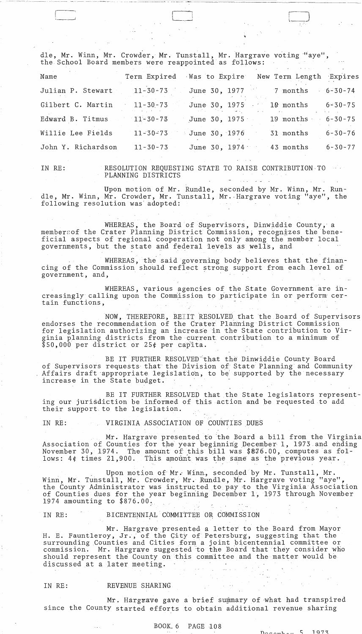dle, Mr. Winn, Mr. Crowder, Mr. Tunstall, Mr. Hargrave voting "aye", the School Board members were reappointed as follows:

 $~\square$  and  $~\square$ 

| Name                       | Term Expired   | Was to Expire           | New Term Length Expires |               |
|----------------------------|----------------|-------------------------|-------------------------|---------------|
| Julian P. Stewart 11-30-73 |                | June 30, 1977 7 months  |                         | $6 - 30 - 74$ |
| Gilbert C. Martin          | $11 - 30 - 73$ | June 30, 1975 19 months |                         | $6 - 30 - 75$ |
| Edward B. Titmus           | $11 - 30 - 73$ | June 30, 1975           | 19 months               | $6 - 30 - 75$ |
| Willie Lee Fields          | $11 - 30 - 73$ | June 30, 1976           | 31 months               | $6 - 30 - 76$ |
| John Y. Richardson         | $11 - 30 - 73$ | June 30, 1974           | 43 months               | $6 - 30 - 77$ |

IN RE:

r--'

I

RESOLUTION REQUESTING STATE TO RAISE CONTRIBUTION,TO PLANNING DISTRICTS

Upon motion of Mr. Rundle, seconded by Mr. Winn, Mr. Rundle, Mr. Winn, Mr. Crowder, Mr. Tunstall, Mr .. Hargrave voting "aye", the following resolution was' adopted:

WHEREAS, the Board of Supervisors, Dinwiddie County, a membersof the Crater Planning District Commission, recognizes the beneficial aspects of regional cooperation not only among the member local governments, but the state and federal 1evels as wells, and

WHEREAS, the said governing body believes that the financing of the Commission should reflect strong support from each level of government, and, .

WHEREAS, various agencies of the State Government are increasingly calling upon the Commission to participate in or perform certain functions,

NOW, THEREFORE, BETIT 'RESOLVED that the Board of Supervisors endorses the recommendation of the Crater Planning District Commission<br>for legislation authorizing an increase in the State contribution to V<br>ginia planning districts from the current contribution to a minimum of<br>\$50,000 p for legislation authorizing an increase in the State contribution to Virginia planning districts from the current contribution to a minimum of<br>\$50,000 per district or 25¢ per capita.

BE IT FURTHER RESOLVED that the Dinwiddie County Board of Supervisors requests that the Division of State Planning and Community Affairs draft 'appropriate legislation, to be' supported by the necessary increase in the State budget.

BE IT FURTHER RESOLVED that the State legislators representing our jurisdiction be informed of this action and be requested to add their support to the legislation.

IN RE: VIRGINIA ASSOCIATION OF COUNTIES DUES

Mr. Hargrave presented to the Board a bill from the Virginia Association of Counties for the year beginning December 1, 1973 and ending November 30, 1974. The amount of this bill was  $8876.00$ , computes as fol-<br>lows: 4¢ times 21,900. This amount was the same as the previous year. This amount was the same as the previous year.

Upon motion of Mr. Winn, seconded by Mr. Tunstall, Mr. Winn, Mr. Tunstall, Mr. Crowder, Mr. Rundle, Mr. Hargrave voting "aye" the County Administrator was instructed to pay to the Virginia Association of Counties dues for the year beginning December 1, 1973 through November 1974 amounting to \$876.00:

, ,

IN RE: BICENTENNIAL COMMITTEE OR COMMISSION

Mr. Hargrave presented a letter to the Board from Mayor H. E. Fauntleroy, Jr., of the City of Petersburg, suggesting that the surrounding Counties and Cities form a joint bicentennial committee or commission. Mr. Hargrave suggested to the Board that they consider who should represent the County on this committee and the matter would be discussed at a later meeting. discussed at a later meeting. 

### IN RE: REVENUE SHARING

 $\alpha$  is  $\alpha_1$  .

Mr. Hargrave gave a brief summary of what had transpired since the County started efforts to obtain additional revenue sharing

 $\mathcal{L}^{\text{max}}_{\text{max}}$  , where  $\mathcal{L}^{\text{max}}_{\text{max}}$  $\mathcal{L}^{\text{max}}_{\text{max}}$  , where  $\mathcal{L}^{\text{max}}_{\text{max}}$ 

BOOK 6 PAGE 108

 $5.1973$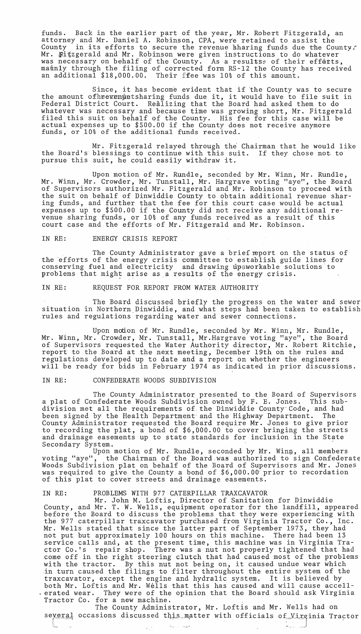funds. Back in the earlier part of the year, Mr. Robert Fitzgerald, an attorney and Mr. Daniel A. Robinson, CPA, were retained to assist the county in its efforts to secure the revenue sharing funds due the County; Mr. Titzgerald and Mr. Robinson were given instructions to do whatever was necessary on behalf of the County. As a resultss of their efforts, mainly through the filing of corrected form RS-12 the County has received an additional \$18,000.00. Their ffee was 10% of this amount.

Since, it has become evident that if the County was to secure the amount of heeren pets haring funds due it, it would have to file suit in Federal District Court. Realizing that the Board had asked them to do whatever was necessary and because time was growing short, Mr. Fitzgerald filed this suit on behalf of the County. His fee for this case will be actual expenses up to \$500.00 if the County does not receive anymore funds, or 10% of the additional funds received.

Mr. Fitzgerald relayed through the Chairman that he would like the Board's blessings to continue with this suit. If they chose not to pursue this suit, he could easily withdraw it.

Upon motion of Mr. Rundle, seconded by Mr. Winn, Mr. Rundle, Mr. Winn, Mr. Crowder, Mr. Tunstall, Mr. Hargrave voting "aye", the Board of Supervisors authorized Mr. Fitzgerald and Mr. Robinson to proceed with the suit on behalf of Dinwiddie County to obtain additional revenue sharing funds, and further that the fee for this court case would be actual expenses up to \$500.00 if the County did not receive any additional revenue sharing funds, or 10% of any funds received as a result of this court case and the efforts of Mr. Fitzgerald and Mr. Robinson.

#### IN RE: ENERGY CRISIS REPORT

The County Administrator gave a brief report on the status of the 'efforts of the energy crisis committee to establish guide lines for conserving fuel and electricity and drawing upaworkable solutions to problems that might arise as a results of the energy crisis.

IN ,RE: REQUEST FOR REPORT FROM WATER AUTHORITY

The Board discussed briefly the progress on the water and sewer situation in Northern Dinwiddie, and what steps had been taken to establish rules and regulations regarding water and sewer connections.

Upon motion of Mr. Rundle, seconded by Mr. Winn, Mr. Rundle, Mr. Winn, Mr. Crowder, Mr. Tunstall, Mr.Hargrave voting "aye", the Board of Supervisors requested the Water Authority director, Mr. Robert Ritchie, report to the Board at the next meeting, December 19th on the rules and regulations developed up to date and a report on whether the engineers will be ready for bids in February 1974 as indicated in prior discussions.

### IN RE: CONFEDERATE WOODS SUBDIVISION

The County Administrator presented to the Board of Supervisors a plat of Confederate Woods Subdivision owned by F. E. Jones. This subdivision met all the requirements of,the Dinwiddie County'Code, and had been signed by the Health Department' and the Highway Department. The County Administrator requested the Board require Mr. Jones to give prior to recording the plat, a bond of \$6,000.00 to cover bringing the streets and drainage easements up to state standards for inclusion in the State Secondary System.

Upon motion of Mr. Rundle, seconded by Mr. Winn, all members voting "aye", the Chairman of the Board.was authorized to sign Confederate voting "aye", the Chairman of the Board was authorized to sign Confederate<br>Woods Subdivision plat on behalf of the Board of Supervisors and Mr. Jones was required to give the County a bond of \$6,000.00' prior to recordation of this plat to cover streets and drainage easements.

### IN RE: PROBLEMS WITH 977 CATERPILLAR TRAXCAVATOR

Mr. John M. Loftis, Director of Sanitation for Dinwiddie County, and Mr. T. W. Wells, equipment operator for the landfill, appeared before the Board to discuss the problems that they were experiencing with the 977 caterpillar traxcavator purchased from Virginia Tractor Co., Inc. Mr. Wells stated that since the latter part of September 1973, they had not put but approximately 100 hours on this machine. There had been 13 service calls and, at the present time, this machine was in Virginia Tractor Co. 's repair shop. There was a nut not properly tightened that had come off in the right steering clutch that had caused most of the problems with the tractor. By this nut not being on, it caused undue wear which in turn caused the filings to filter throughout the entire system of the traxcavator, except the engine and hydralic system. It is believed by<br>both Mr. Loftis and Mr. Wells that this has caused and will cause accellerated wear. They were of the opinion that the Board should ask Virginia Tractor Co. for a new machine.

The County Administrator, Mr. Loftis and Mr. Wells had on several occasions discussed this matter with officials of Virginia Tractor !c,-- ~\_ ... --1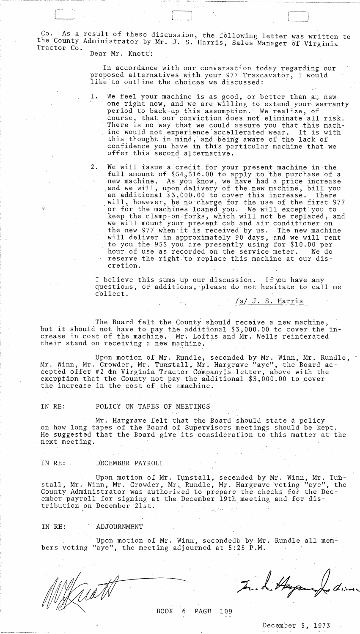As a result of these discussion, the following letter was written to the County Administrator by Mr. J. S. Harris, Sales Manager of Virginia Tractor Co. Dear Mr. Knott':

 $\begin{array}{c} \hline \hline \hline \end{array}$ 

In accordance with our conversation today regarding our proposed alternatives with your 977 Traxcavator, I would like to outline the choices we discussed:

- 1. We feel your machine is as good, or better than  $a$ , new one right now, and we are willing to extend your warranty period to back-up this assumption. We realize, of course, that our conviction does not eliminate all risk. There is no way that we could assure you that this mach-<br>ine would not experience accellerated wear. It is with ine would not experience accellerated wear. this thought in mind, and being aware of the lack of confidence you have in this particular machine that we offer this second alternative.
- 2. We will issue a credit for your present machine in the full amount of  $$54,316.00$  to apply to the purchase of a new machine. As you know, we have had a price increase and we will, upon delivery of the new machine, bill you<br>an additional \$3,000.00 to cover this increase. There an additional  $$3,000.00$  to cover this increase. will, however, be no charge for the use of the first 977 or for the machines loaned you. We will except'you to keep the clamp-on forks, which will not be replaced, and we will mount your present cab and air conditioner on the new 977 when'it is received by us. The new machine will deliver in approximately 90 days; and we will rent to you the 955 you are presently using for \$10.00 per hour of use as recorded on the service meter. We do reserve the right,'to replace this machine at our discretion.

I believe this sums up our discussion. If you have any questions, or additions,please do not hesitate to call me collect.

/s/ J. S. Harris

The Board felt the County should receive a new machine, but it should not have to pay the additional \$3,000.00 to cover the increase in cost of the machine. Mr. Loftis and Mr. Wells reinterated their stand on receiving a new machine.

Upon motion of Mr. Rundle, seconded by Mr. Winn, Mr. Rundle, ' Mr. Winn, Mr. Crowder, Mr. Tunstall, Mr. Hargrave "aye", the Board accepted offer #2 dm Virginia Tractor Company;s letter, above with the exception that the County not pay the additional \$3,000.00 to cover the increase in the cost of the amachine.

IN RE: POLICY ON TAPES OF MEETINGS

Mr. Hargrave felt that the Board should state a policy on how long tapes of the Board of Supervisors meetings should be kept. He suggested that the Board give its consideration to this matter at the next meeting.

IN RE: DECEMBER PAYROLL

Upon motion of Mr. Tunstall, secended by Mr. Winn, Mr. Tunstall, Mr. Winn, Mr. Crowder, Mr. Rundle, Mr. Hargrave voting "aye", the County Administrator was authorized.to prepare the checks for the December payroll for signing at the December 19th meeting and for distribution on December 21st.

IN RE: ADJOURNMENT

Upon motion of Mr. Winn, secondedb by Mr. Rundle all members voting "aye", the meeting adjourned at 5:25 P.M.

BOOK 6 PAGE 109

December 5, 1973